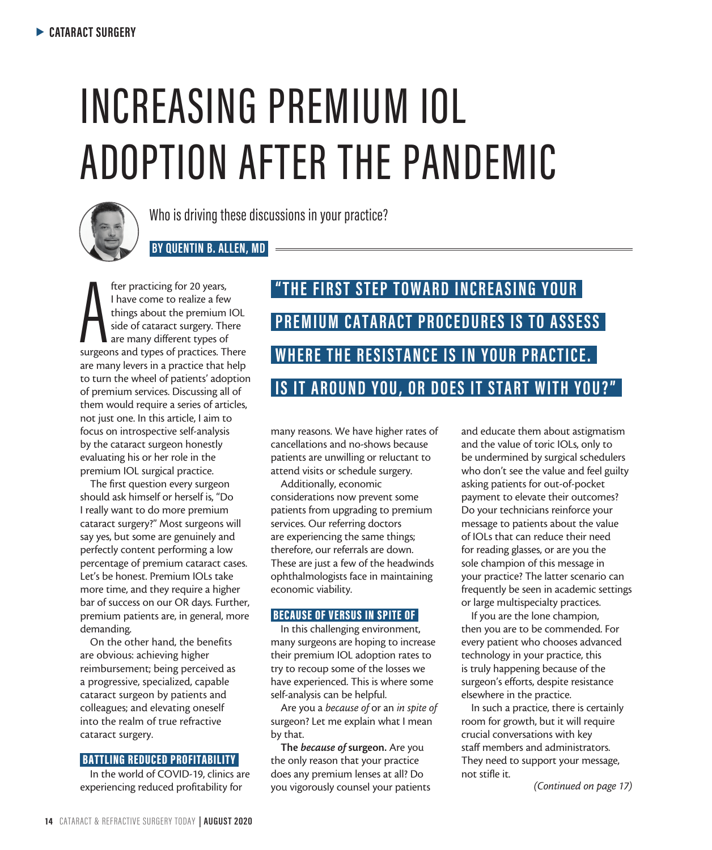# INCREASING PREMIUM IOL ADOPTION AFTER THE PANDEMIC



Who is driving these discussions in your practice?

 **BY QUENTIN B. ALLEN, MD** 

fter practicing for 20 years,<br>
I have come to realize a few<br>
things about the premium IOL<br>
side of cataract surgery. There<br>
are many different types of<br>
surgeons and types of practices. There fter practicing for 20 years, I have come to realize a few things about the premium IOL side of cataract surgery. There are many different types of are many levers in a practice that help to turn the wheel of patients' adoption of premium services. Discussing all of them would require a series of articles, not just one. In this article, I aim to focus on introspective self-analysis by the cataract surgeon honestly evaluating his or her role in the premium IOL surgical practice.

The first question every surgeon should ask himself or herself is, "Do I really want to do more premium cataract surgery?" Most surgeons will say yes, but some are genuinely and perfectly content performing a low percentage of premium cataract cases. Let's be honest. Premium IOLs take more time, and they require a higher bar of success on our OR days. Further, premium patients are, in general, more demanding.

On the other hand, the benefits are obvious: achieving higher reimbursement; being perceived as a progressive, specialized, capable cataract surgeon by patients and colleagues; and elevating oneself into the realm of true refractive cataract surgery.

#### BATTLING REDUCED PROFITABILITY

In the world of COVID-19, clinics are experiencing reduced profitability for

## **" T H E F I R S T S T E P T O W A R D I N C R E A S I N G Y O U R PREMIUM CATARACT PROCEDURES IS TO ASSESS WHERE THE RESISTANCE IS IN YOUR PRACTICE. IS IT AROUND YOU, OR DOES IT START WITH YOU?"**

many reasons. We have higher rates of cancellations and no-shows because patients are unwilling or reluctant to attend visits or schedule surgery.

Additionally, economic considerations now prevent some patients from upgrading to premium services. Our referring doctors are experiencing the same things; therefore, our referrals are down. These are just a few of the headwinds ophthalmologists face in maintaining economic viability.

### **BECAUSE OF VERSUS IN SPITE OF**

In this challenging environment, many surgeons are hoping to increase their premium IOL adoption rates to try to recoup some of the losses we have experienced. This is where some self-analysis can be helpful.

Are you a *because of* or an *in spite of* surgeon? Let me explain what I mean by that.

The *because of* surgeon. Are you the only reason that your practice does any premium lenses at all? Do you vigorously counsel your patients and educate them about astigmatism and the value of toric IOLs, only to be undermined by surgical schedulers who don't see the value and feel guilty asking patients for out-of-pocket payment to elevate their outcomes? Do your technicians reinforce your message to patients about the value of IOLs that can reduce their need for reading glasses, or are you the sole champion of this message in your practice? The latter scenario can frequently be seen in academic settings or large multispecialty practices.

If you are the lone champion, then you are to be commended. For every patient who chooses advanced technology in your practice, this is truly happening because of the surgeon's efforts, despite resistance elsewhere in the practice.

In such a practice, there is certainly room for growth, but it will require crucial conversations with key staff members and administrators. They need to support your message, not stifle it.

*(Continued on page 17)*